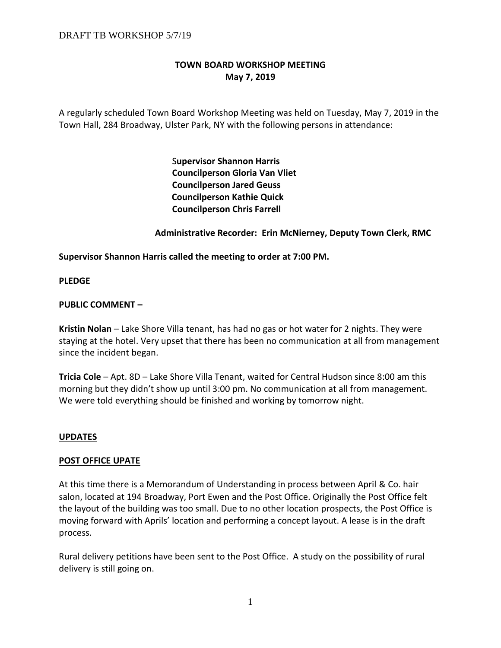# **TOWN BOARD WORKSHOP MEETING May 7, 2019**

A regularly scheduled Town Board Workshop Meeting was held on Tuesday, May 7, 2019 in the Town Hall, 284 Broadway, Ulster Park, NY with the following persons in attendance:

> S**upervisor Shannon Harris Councilperson Gloria Van Vliet Councilperson Jared Geuss Councilperson Kathie Quick Councilperson Chris Farrell**

### **Administrative Recorder: Erin McNierney, Deputy Town Clerk, RMC**

### **Supervisor Shannon Harris called the meeting to order at 7:00 PM.**

**PLEDGE**

### **PUBLIC COMMENT –**

**Kristin Nolan** – Lake Shore Villa tenant, has had no gas or hot water for 2 nights. They were staying at the hotel. Very upset that there has been no communication at all from management since the incident began.

**Tricia Cole** – Apt. 8D – Lake Shore Villa Tenant, waited for Central Hudson since 8:00 am this morning but they didn't show up until 3:00 pm. No communication at all from management. We were told everything should be finished and working by tomorrow night.

### **UPDATES**

### **POST OFFICE UPATE**

At this time there is a Memorandum of Understanding in process between April & Co. hair salon, located at 194 Broadway, Port Ewen and the Post Office. Originally the Post Office felt the layout of the building was too small. Due to no other location prospects, the Post Office is moving forward with Aprils' location and performing a concept layout. A lease is in the draft process.

Rural delivery petitions have been sent to the Post Office. A study on the possibility of rural delivery is still going on.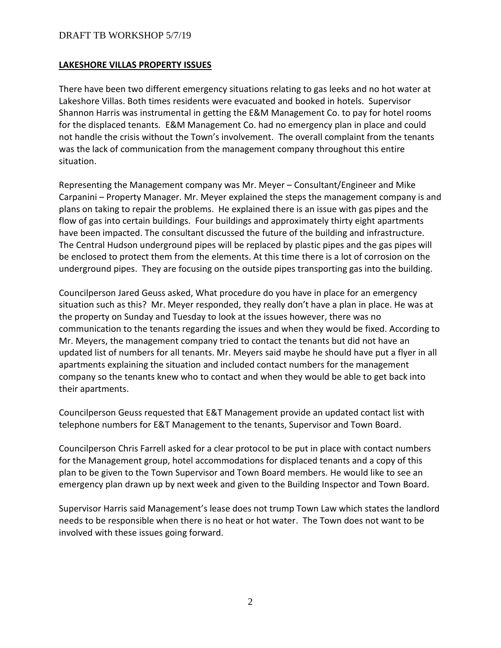#### **LAKESHORE VILLAS PROPERTY ISSUES**

There have been two different emergency situations relating to gas leeks and no hot water at Lakeshore Villas. Both times residents were evacuated and booked in hotels. Supervisor Shannon Harris was instrumental in getting the E&M Management Co. to pay for hotel rooms for the displaced tenants. E&M Management Co. had no emergency plan in place and could not handle the crisis without the Town's involvement. The overall complaint from the tenants was the lack of communication from the management company throughout this entire situation.

Representing the Management company was Mr. Meyer – Consultant/Engineer and Mike Carpanini – Property Manager. Mr. Meyer explained the steps the management company is and plans on taking to repair the problems. He explained there is an issue with gas pipes and the flow of gas into certain buildings. Four buildings and approximately thirty eight apartments have been impacted. The consultant discussed the future of the building and infrastructure. The Central Hudson underground pipes will be replaced by plastic pipes and the gas pipes will be enclosed to protect them from the elements. At this time there is a lot of corrosion on the underground pipes. They are focusing on the outside pipes transporting gas into the building.

Councilperson Jared Geuss asked, What procedure do you have in place for an emergency situation such as this? Mr. Meyer responded, they really don't have a plan in place. He was at the property on Sunday and Tuesday to look at the issues however, there was no communication to the tenants regarding the issues and when they would be fixed. According to Mr. Meyers, the management company tried to contact the tenants but did not have an updated list of numbers for all tenants. Mr. Meyers said maybe he should have put a flyer in all apartments explaining the situation and included contact numbers for the management company so the tenants knew who to contact and when they would be able to get back into their apartments.

Councilperson Geuss requested that E&T Management provide an updated contact list with telephone numbers for E&T Management to the tenants, Supervisor and Town Board.

Councilperson Chris Farrell asked for a clear protocol to be put in place with contact numbers for the Management group, hotel accommodations for displaced tenants and a copy of this plan to be given to the Town Supervisor and Town Board members. He would like to see an emergency plan drawn up by next week and given to the Building Inspector and Town Board.

Supervisor Harris said Management's lease does not trump Town Law which states the landlord needs to be responsible when there is no heat or hot water. The Town does not want to be involved with these issues going forward.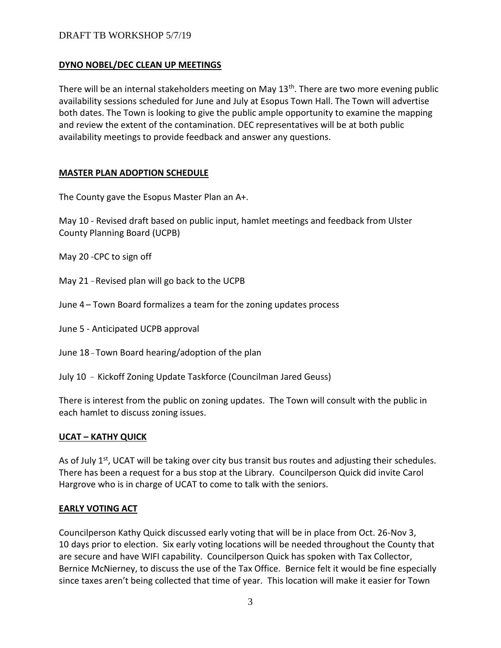### **DYNO NOBEL/DEC CLEAN UP MEETINGS**

There will be an internal stakeholders meeting on May  $13<sup>th</sup>$ . There are two more evening public availability sessions scheduled for June and July at Esopus Town Hall. The Town will advertise both dates. The Town is looking to give the public ample opportunity to examine the mapping and review the extent of the contamination. DEC representatives will be at both public availability meetings to provide feedback and answer any questions.

## **MASTER PLAN ADOPTION SCHEDULE**

The County gave the Esopus Master Plan an A+.

May 10 - Revised draft based on public input, hamlet meetings and feedback from Ulster County Planning Board (UCPB)

May 20 -CPC to sign off

May 21 - Revised plan will go back to the UCPB

- June 4 Town Board formalizes a team for the zoning updates process
- June 5 Anticipated UCPB approval
- June 18 Town Board hearing/adoption of the plan
- July 10 Kickoff Zoning Update Taskforce (Councilman Jared Geuss)

There is interest from the public on zoning updates. The Town will consult with the public in each hamlet to discuss zoning issues.

# **UCAT – KATHY QUICK**

As of July  $1<sup>st</sup>$ , UCAT will be taking over city bus transit bus routes and adjusting their schedules. There has been a request for a bus stop at the Library. Councilperson Quick did invite Carol Hargrove who is in charge of UCAT to come to talk with the seniors.

# **EARLY VOTING ACT**

Councilperson Kathy Quick discussed early voting that will be in place from Oct. 26-Nov 3, 10 days prior to election. Six early voting locations will be needed throughout the County that are secure and have WIFI capability. Councilperson Quick has spoken with Tax Collector, Bernice McNierney, to discuss the use of the Tax Office. Bernice felt it would be fine especially since taxes aren't being collected that time of year. This location will make it easier for Town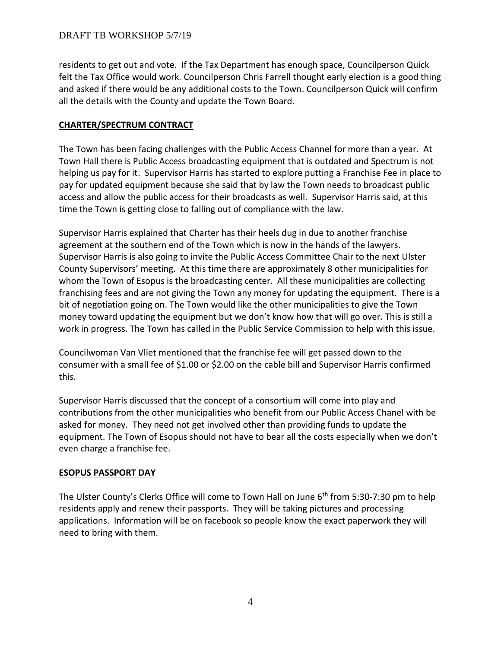residents to get out and vote. If the Tax Department has enough space, Councilperson Quick felt the Tax Office would work. Councilperson Chris Farrell thought early election is a good thing and asked if there would be any additional costs to the Town. Councilperson Quick will confirm all the details with the County and update the Town Board.

### **CHARTER/SPECTRUM CONTRACT**

The Town has been facing challenges with the Public Access Channel for more than a year. At Town Hall there is Public Access broadcasting equipment that is outdated and Spectrum is not helping us pay for it. Supervisor Harris has started to explore putting a Franchise Fee in place to pay for updated equipment because she said that by law the Town needs to broadcast public access and allow the public access for their broadcasts as well. Supervisor Harris said, at this time the Town is getting close to falling out of compliance with the law.

Supervisor Harris explained that Charter has their heels dug in due to another franchise agreement at the southern end of the Town which is now in the hands of the lawyers. Supervisor Harris is also going to invite the Public Access Committee Chair to the next Ulster County Supervisors' meeting. At this time there are approximately 8 other municipalities for whom the Town of Esopus is the broadcasting center. All these municipalities are collecting franchising fees and are not giving the Town any money for updating the equipment. There is a bit of negotiation going on. The Town would like the other municipalities to give the Town money toward updating the equipment but we don't know how that will go over. This is still a work in progress. The Town has called in the Public Service Commission to help with this issue.

Councilwoman Van Vliet mentioned that the franchise fee will get passed down to the consumer with a small fee of \$1.00 or \$2.00 on the cable bill and Supervisor Harris confirmed this.

Supervisor Harris discussed that the concept of a consortium will come into play and contributions from the other municipalities who benefit from our Public Access Chanel with be asked for money. They need not get involved other than providing funds to update the equipment. The Town of Esopus should not have to bear all the costs especially when we don't even charge a franchise fee.

### **ESOPUS PASSPORT DAY**

The Ulster County's Clerks Office will come to Town Hall on June 6<sup>th</sup> from 5:30-7:30 pm to help residents apply and renew their passports. They will be taking pictures and processing applications. Information will be on facebook so people know the exact paperwork they will need to bring with them.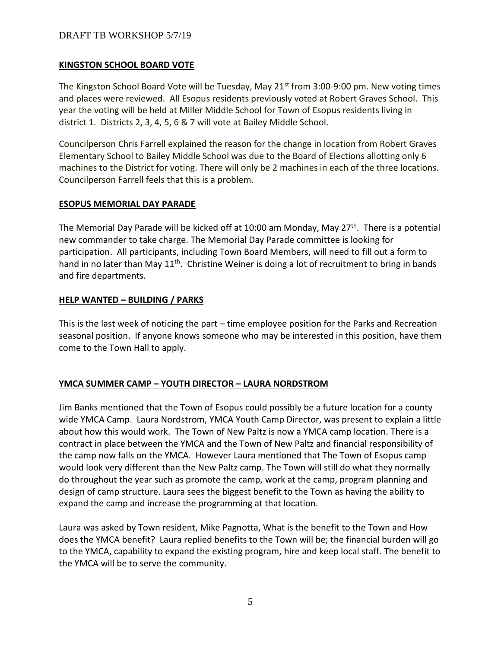### **KINGSTON SCHOOL BOARD VOTE**

The Kingston School Board Vote will be Tuesday, May  $21^{st}$  from 3:00-9:00 pm. New voting times and places were reviewed. All Esopus residents previously voted at Robert Graves School. This year the voting will be held at Miller Middle School for Town of Esopus residents living in district 1. Districts 2, 3, 4, 5, 6 & 7 will vote at Bailey Middle School.

Councilperson Chris Farrell explained the reason for the change in location from Robert Graves Elementary School to Bailey Middle School was due to the Board of Elections allotting only 6 machines to the District for voting. There will only be 2 machines in each of the three locations. Councilperson Farrell feels that this is a problem.

### **ESOPUS MEMORIAL DAY PARADE**

The Memorial Day Parade will be kicked off at 10:00 am Monday, May 27<sup>th</sup>. There is a potential new commander to take charge. The Memorial Day Parade committee is looking for participation. All participants, including Town Board Members, will need to fill out a form to hand in no later than May  $11<sup>th</sup>$ . Christine Weiner is doing a lot of recruitment to bring in bands and fire departments.

### **HELP WANTED – BUILDING / PARKS**

This is the last week of noticing the part – time employee position for the Parks and Recreation seasonal position. If anyone knows someone who may be interested in this position, have them come to the Town Hall to apply.

### **YMCA SUMMER CAMP – YOUTH DIRECTOR – LAURA NORDSTROM**

Jim Banks mentioned that the Town of Esopus could possibly be a future location for a county wide YMCA Camp. Laura Nordstrom, YMCA Youth Camp Director, was present to explain a little about how this would work. The Town of New Paltz is now a YMCA camp location. There is a contract in place between the YMCA and the Town of New Paltz and financial responsibility of the camp now falls on the YMCA. However Laura mentioned that The Town of Esopus camp would look very different than the New Paltz camp. The Town will still do what they normally do throughout the year such as promote the camp, work at the camp, program planning and design of camp structure. Laura sees the biggest benefit to the Town as having the ability to expand the camp and increase the programming at that location.

Laura was asked by Town resident, Mike Pagnotta, What is the benefit to the Town and How does the YMCA benefit? Laura replied benefits to the Town will be; the financial burden will go to the YMCA, capability to expand the existing program, hire and keep local staff. The benefit to the YMCA will be to serve the community.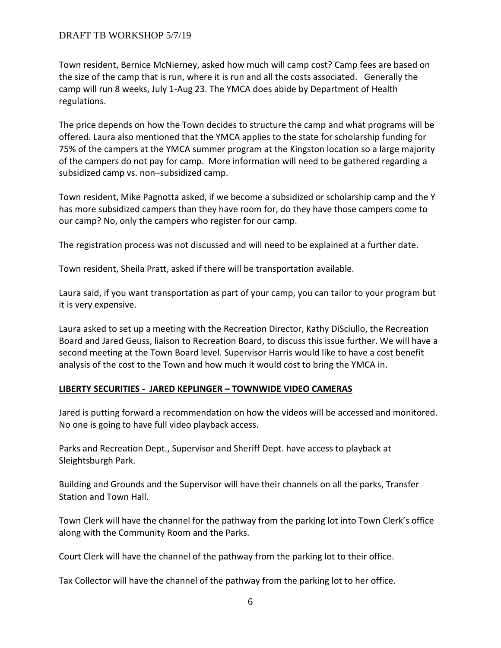Town resident, Bernice McNierney, asked how much will camp cost? Camp fees are based on the size of the camp that is run, where it is run and all the costs associated. Generally the camp will run 8 weeks, July 1-Aug 23. The YMCA does abide by Department of Health regulations.

The price depends on how the Town decides to structure the camp and what programs will be offered. Laura also mentioned that the YMCA applies to the state for scholarship funding for 75% of the campers at the YMCA summer program at the Kingston location so a large majority of the campers do not pay for camp. More information will need to be gathered regarding a subsidized camp vs. non–subsidized camp.

Town resident, Mike Pagnotta asked, if we become a subsidized or scholarship camp and the Y has more subsidized campers than they have room for, do they have those campers come to our camp? No, only the campers who register for our camp.

The registration process was not discussed and will need to be explained at a further date.

Town resident, Sheila Pratt, asked if there will be transportation available.

Laura said, if you want transportation as part of your camp, you can tailor to your program but it is very expensive.

Laura asked to set up a meeting with the Recreation Director, Kathy DiSciullo, the Recreation Board and Jared Geuss, liaison to Recreation Board, to discuss this issue further. We will have a second meeting at the Town Board level. Supervisor Harris would like to have a cost benefit analysis of the cost to the Town and how much it would cost to bring the YMCA in.

# **LIBERTY SECURITIES - JARED KEPLINGER – TOWNWIDE VIDEO CAMERAS**

Jared is putting forward a recommendation on how the videos will be accessed and monitored. No one is going to have full video playback access.

Parks and Recreation Dept., Supervisor and Sheriff Dept. have access to playback at Sleightsburgh Park.

Building and Grounds and the Supervisor will have their channels on all the parks, Transfer Station and Town Hall.

Town Clerk will have the channel for the pathway from the parking lot into Town Clerk's office along with the Community Room and the Parks.

Court Clerk will have the channel of the pathway from the parking lot to their office.

Tax Collector will have the channel of the pathway from the parking lot to her office.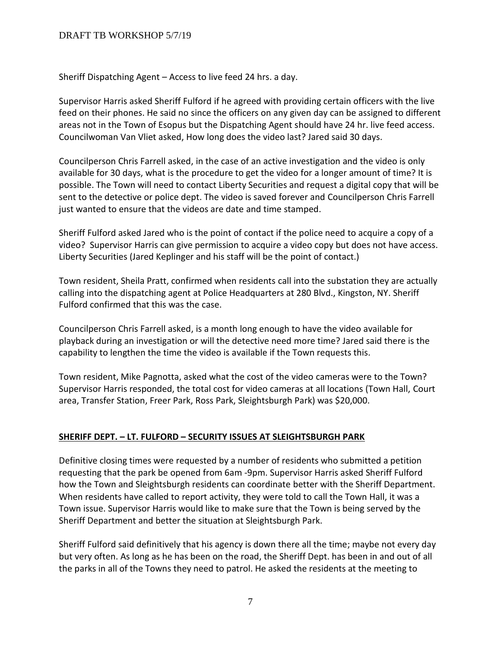Sheriff Dispatching Agent – Access to live feed 24 hrs. a day.

Supervisor Harris asked Sheriff Fulford if he agreed with providing certain officers with the live feed on their phones. He said no since the officers on any given day can be assigned to different areas not in the Town of Esopus but the Dispatching Agent should have 24 hr. live feed access. Councilwoman Van Vliet asked, How long does the video last? Jared said 30 days.

Councilperson Chris Farrell asked, in the case of an active investigation and the video is only available for 30 days, what is the procedure to get the video for a longer amount of time? It is possible. The Town will need to contact Liberty Securities and request a digital copy that will be sent to the detective or police dept. The video is saved forever and Councilperson Chris Farrell just wanted to ensure that the videos are date and time stamped.

Sheriff Fulford asked Jared who is the point of contact if the police need to acquire a copy of a video? Supervisor Harris can give permission to acquire a video copy but does not have access. Liberty Securities (Jared Keplinger and his staff will be the point of contact.)

Town resident, Sheila Pratt, confirmed when residents call into the substation they are actually calling into the dispatching agent at Police Headquarters at 280 Blvd., Kingston, NY. Sheriff Fulford confirmed that this was the case.

Councilperson Chris Farrell asked, is a month long enough to have the video available for playback during an investigation or will the detective need more time? Jared said there is the capability to lengthen the time the video is available if the Town requests this.

Town resident, Mike Pagnotta, asked what the cost of the video cameras were to the Town? Supervisor Harris responded, the total cost for video cameras at all locations (Town Hall, Court area, Transfer Station, Freer Park, Ross Park, Sleightsburgh Park) was \$20,000.

### **SHERIFF DEPT. – LT. FULFORD – SECURITY ISSUES AT SLEIGHTSBURGH PARK**

Definitive closing times were requested by a number of residents who submitted a petition requesting that the park be opened from 6am -9pm. Supervisor Harris asked Sheriff Fulford how the Town and Sleightsburgh residents can coordinate better with the Sheriff Department. When residents have called to report activity, they were told to call the Town Hall, it was a Town issue. Supervisor Harris would like to make sure that the Town is being served by the Sheriff Department and better the situation at Sleightsburgh Park.

Sheriff Fulford said definitively that his agency is down there all the time; maybe not every day but very often. As long as he has been on the road, the Sheriff Dept. has been in and out of all the parks in all of the Towns they need to patrol. He asked the residents at the meeting to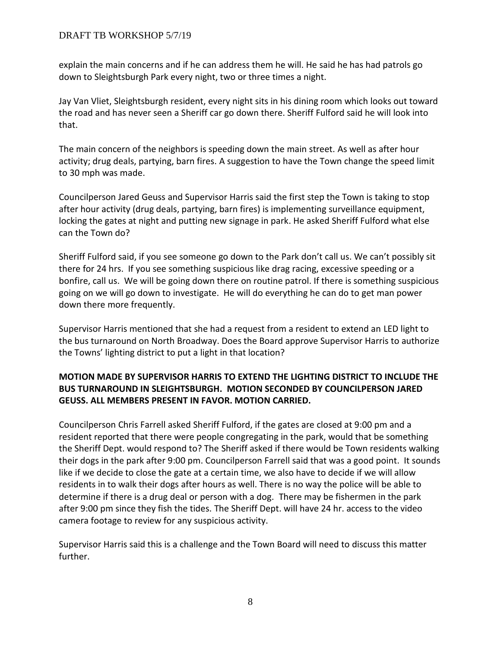explain the main concerns and if he can address them he will. He said he has had patrols go down to Sleightsburgh Park every night, two or three times a night.

Jay Van Vliet, Sleightsburgh resident, every night sits in his dining room which looks out toward the road and has never seen a Sheriff car go down there. Sheriff Fulford said he will look into that.

The main concern of the neighbors is speeding down the main street. As well as after hour activity; drug deals, partying, barn fires. A suggestion to have the Town change the speed limit to 30 mph was made.

Councilperson Jared Geuss and Supervisor Harris said the first step the Town is taking to stop after hour activity (drug deals, partying, barn fires) is implementing surveillance equipment, locking the gates at night and putting new signage in park. He asked Sheriff Fulford what else can the Town do?

Sheriff Fulford said, if you see someone go down to the Park don't call us. We can't possibly sit there for 24 hrs. If you see something suspicious like drag racing, excessive speeding or a bonfire, call us. We will be going down there on routine patrol. If there is something suspicious going on we will go down to investigate. He will do everything he can do to get man power down there more frequently.

Supervisor Harris mentioned that she had a request from a resident to extend an LED light to the bus turnaround on North Broadway. Does the Board approve Supervisor Harris to authorize the Towns' lighting district to put a light in that location?

# **MOTION MADE BY SUPERVISOR HARRIS TO EXTEND THE LIGHTING DISTRICT TO INCLUDE THE BUS TURNAROUND IN SLEIGHTSBURGH. MOTION SECONDED BY COUNCILPERSON JARED GEUSS. ALL MEMBERS PRESENT IN FAVOR. MOTION CARRIED.**

Councilperson Chris Farrell asked Sheriff Fulford, if the gates are closed at 9:00 pm and a resident reported that there were people congregating in the park, would that be something the Sheriff Dept. would respond to? The Sheriff asked if there would be Town residents walking their dogs in the park after 9:00 pm. Councilperson Farrell said that was a good point. It sounds like if we decide to close the gate at a certain time, we also have to decide if we will allow residents in to walk their dogs after hours as well. There is no way the police will be able to determine if there is a drug deal or person with a dog. There may be fishermen in the park after 9:00 pm since they fish the tides. The Sheriff Dept. will have 24 hr. access to the video camera footage to review for any suspicious activity.

Supervisor Harris said this is a challenge and the Town Board will need to discuss this matter further.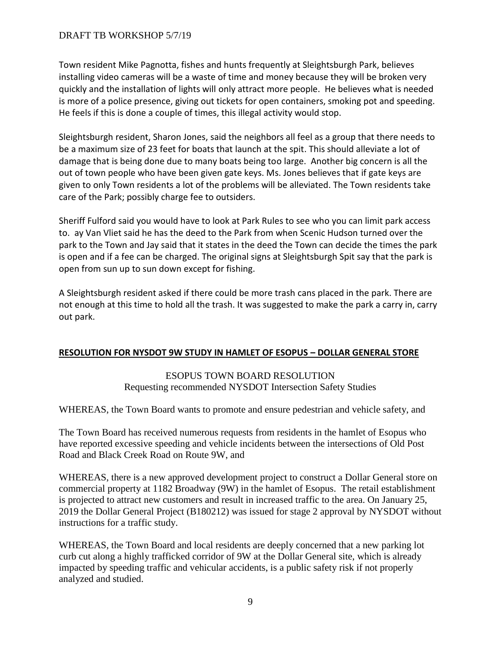Town resident Mike Pagnotta, fishes and hunts frequently at Sleightsburgh Park, believes installing video cameras will be a waste of time and money because they will be broken very quickly and the installation of lights will only attract more people. He believes what is needed is more of a police presence, giving out tickets for open containers, smoking pot and speeding. He feels if this is done a couple of times, this illegal activity would stop.

Sleightsburgh resident, Sharon Jones, said the neighbors all feel as a group that there needs to be a maximum size of 23 feet for boats that launch at the spit. This should alleviate a lot of damage that is being done due to many boats being too large. Another big concern is all the out of town people who have been given gate keys. Ms. Jones believes that if gate keys are given to only Town residents a lot of the problems will be alleviated. The Town residents take care of the Park; possibly charge fee to outsiders.

Sheriff Fulford said you would have to look at Park Rules to see who you can limit park access to. ay Van Vliet said he has the deed to the Park from when Scenic Hudson turned over the park to the Town and Jay said that it states in the deed the Town can decide the times the park is open and if a fee can be charged. The original signs at Sleightsburgh Spit say that the park is open from sun up to sun down except for fishing.

A Sleightsburgh resident asked if there could be more trash cans placed in the park. There are not enough at this time to hold all the trash. It was suggested to make the park a carry in, carry out park.

### **RESOLUTION FOR NYSDOT 9W STUDY IN HAMLET OF ESOPUS – DOLLAR GENERAL STORE**

# ESOPUS TOWN BOARD RESOLUTION Requesting recommended NYSDOT Intersection Safety Studies

WHEREAS, the Town Board wants to promote and ensure pedestrian and vehicle safety, and

The Town Board has received numerous requests from residents in the hamlet of Esopus who have reported excessive speeding and vehicle incidents between the intersections of Old Post Road and Black Creek Road on Route 9W, and

WHEREAS, there is a new approved development project to construct a Dollar General store on commercial property at 1182 Broadway (9W) in the hamlet of Esopus. The retail establishment is projected to attract new customers and result in increased traffic to the area. On January 25, 2019 the Dollar General Project (B180212) was issued for stage 2 approval by NYSDOT without instructions for a traffic study.

WHEREAS, the Town Board and local residents are deeply concerned that a new parking lot curb cut along a highly trafficked corridor of 9W at the Dollar General site, which is already impacted by speeding traffic and vehicular accidents, is a public safety risk if not properly analyzed and studied.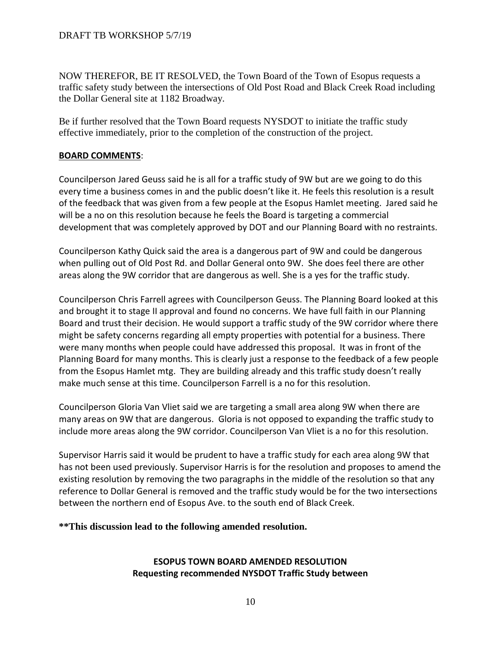NOW THEREFOR, BE IT RESOLVED, the Town Board of the Town of Esopus requests a traffic safety study between the intersections of Old Post Road and Black Creek Road including the Dollar General site at 1182 Broadway.

Be if further resolved that the Town Board requests NYSDOT to initiate the traffic study effective immediately, prior to the completion of the construction of the project.

## **BOARD COMMENTS**:

Councilperson Jared Geuss said he is all for a traffic study of 9W but are we going to do this every time a business comes in and the public doesn't like it. He feels this resolution is a result of the feedback that was given from a few people at the Esopus Hamlet meeting. Jared said he will be a no on this resolution because he feels the Board is targeting a commercial development that was completely approved by DOT and our Planning Board with no restraints.

Councilperson Kathy Quick said the area is a dangerous part of 9W and could be dangerous when pulling out of Old Post Rd. and Dollar General onto 9W. She does feel there are other areas along the 9W corridor that are dangerous as well. She is a yes for the traffic study.

Councilperson Chris Farrell agrees with Councilperson Geuss. The Planning Board looked at this and brought it to stage II approval and found no concerns. We have full faith in our Planning Board and trust their decision. He would support a traffic study of the 9W corridor where there might be safety concerns regarding all empty properties with potential for a business. There were many months when people could have addressed this proposal. It was in front of the Planning Board for many months. This is clearly just a response to the feedback of a few people from the Esopus Hamlet mtg. They are building already and this traffic study doesn't really make much sense at this time. Councilperson Farrell is a no for this resolution.

Councilperson Gloria Van Vliet said we are targeting a small area along 9W when there are many areas on 9W that are dangerous. Gloria is not opposed to expanding the traffic study to include more areas along the 9W corridor. Councilperson Van Vliet is a no for this resolution.

Supervisor Harris said it would be prudent to have a traffic study for each area along 9W that has not been used previously. Supervisor Harris is for the resolution and proposes to amend the existing resolution by removing the two paragraphs in the middle of the resolution so that any reference to Dollar General is removed and the traffic study would be for the two intersections between the northern end of Esopus Ave. to the south end of Black Creek.

# **\*\*This discussion lead to the following amended resolution.**

# **ESOPUS TOWN BOARD AMENDED RESOLUTION Requesting recommended NYSDOT Traffic Study between**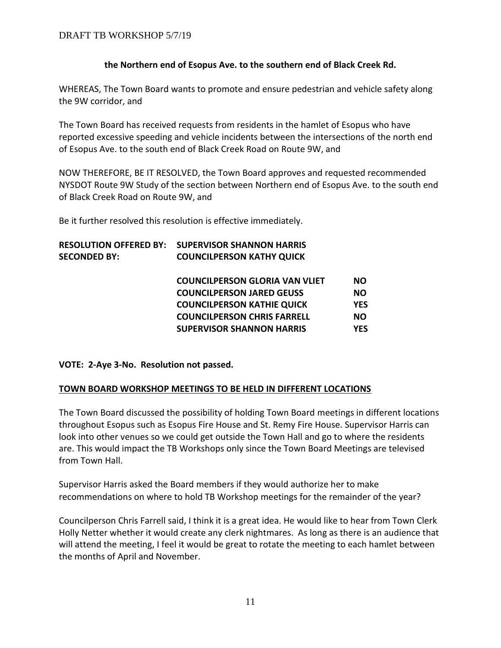## **the Northern end of Esopus Ave. to the southern end of Black Creek Rd.**

WHEREAS, The Town Board wants to promote and ensure pedestrian and vehicle safety along the 9W corridor, and

The Town Board has received requests from residents in the hamlet of Esopus who have reported excessive speeding and vehicle incidents between the intersections of the north end of Esopus Ave. to the south end of Black Creek Road on Route 9W, and

NOW THEREFORE, BE IT RESOLVED, the Town Board approves and requested recommended NYSDOT Route 9W Study of the section between Northern end of Esopus Ave. to the south end of Black Creek Road on Route 9W, and

Be it further resolved this resolution is effective immediately.

| <b>RESOLUTION OFFERED BY:</b> | <b>SUPERVISOR SHANNON HARRIS</b>      |            |
|-------------------------------|---------------------------------------|------------|
| <b>SECONDED BY:</b>           | <b>COUNCILPERSON KATHY QUICK</b>      |            |
|                               |                                       |            |
|                               | <b>COUNCILPERSON GLORIA VAN VLIET</b> | <b>NO</b>  |
|                               | <b>COUNCILPERSON JARED GEUSS</b>      | <b>NO</b>  |
|                               | <b>COUNCILPERSON KATHIE QUICK</b>     | <b>YES</b> |
|                               | <b>COUNCILPERSON CHRIS FARRELL</b>    | <b>NO</b>  |
|                               | <b>SUPERVISOR SHANNON HARRIS</b>      | <b>YES</b> |
|                               |                                       |            |

**VOTE: 2-Aye 3-No. Resolution not passed.** 

# **TOWN BOARD WORKSHOP MEETINGS TO BE HELD IN DIFFERENT LOCATIONS**

The Town Board discussed the possibility of holding Town Board meetings in different locations throughout Esopus such as Esopus Fire House and St. Remy Fire House. Supervisor Harris can look into other venues so we could get outside the Town Hall and go to where the residents are. This would impact the TB Workshops only since the Town Board Meetings are televised from Town Hall.

Supervisor Harris asked the Board members if they would authorize her to make recommendations on where to hold TB Workshop meetings for the remainder of the year?

Councilperson Chris Farrell said, I think it is a great idea. He would like to hear from Town Clerk Holly Netter whether it would create any clerk nightmares. As long as there is an audience that will attend the meeting, I feel it would be great to rotate the meeting to each hamlet between the months of April and November.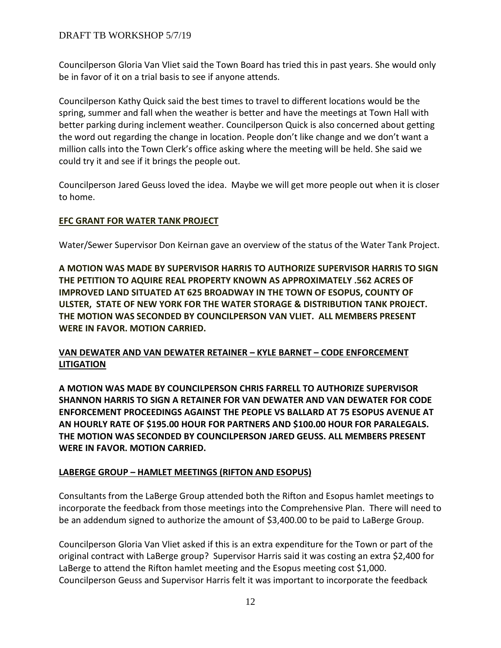Councilperson Gloria Van Vliet said the Town Board has tried this in past years. She would only be in favor of it on a trial basis to see if anyone attends.

Councilperson Kathy Quick said the best times to travel to different locations would be the spring, summer and fall when the weather is better and have the meetings at Town Hall with better parking during inclement weather. Councilperson Quick is also concerned about getting the word out regarding the change in location. People don't like change and we don't want a million calls into the Town Clerk's office asking where the meeting will be held. She said we could try it and see if it brings the people out.

Councilperson Jared Geuss loved the idea. Maybe we will get more people out when it is closer to home.

# **EFC GRANT FOR WATER TANK PROJECT**

Water/Sewer Supervisor Don Keirnan gave an overview of the status of the Water Tank Project.

**A MOTION WAS MADE BY SUPERVISOR HARRIS TO AUTHORIZE SUPERVISOR HARRIS TO SIGN THE PETITION TO AQUIRE REAL PROPERTY KNOWN AS APPROXIMATELY .562 ACRES OF IMPROVED LAND SITUATED AT 625 BROADWAY IN THE TOWN OF ESOPUS, COUNTY OF ULSTER, STATE OF NEW YORK FOR THE WATER STORAGE & DISTRIBUTION TANK PROJECT. THE MOTION WAS SECONDED BY COUNCILPERSON VAN VLIET. ALL MEMBERS PRESENT WERE IN FAVOR. MOTION CARRIED.** 

# **VAN DEWATER AND VAN DEWATER RETAINER – KYLE BARNET – CODE ENFORCEMENT LITIGATION**

**A MOTION WAS MADE BY COUNCILPERSON CHRIS FARRELL TO AUTHORIZE SUPERVISOR SHANNON HARRIS TO SIGN A RETAINER FOR VAN DEWATER AND VAN DEWATER FOR CODE ENFORCEMENT PROCEEDINGS AGAINST THE PEOPLE VS BALLARD AT 75 ESOPUS AVENUE AT AN HOURLY RATE OF \$195.00 HOUR FOR PARTNERS AND \$100.00 HOUR FOR PARALEGALS. THE MOTION WAS SECONDED BY COUNCILPERSON JARED GEUSS. ALL MEMBERS PRESENT WERE IN FAVOR. MOTION CARRIED.**

# **LABERGE GROUP – HAMLET MEETINGS (RIFTON AND ESOPUS)**

Consultants from the LaBerge Group attended both the Rifton and Esopus hamlet meetings to incorporate the feedback from those meetings into the Comprehensive Plan. There will need to be an addendum signed to authorize the amount of \$3,400.00 to be paid to LaBerge Group.

Councilperson Gloria Van Vliet asked if this is an extra expenditure for the Town or part of the original contract with LaBerge group? Supervisor Harris said it was costing an extra \$2,400 for LaBerge to attend the Rifton hamlet meeting and the Esopus meeting cost \$1,000. Councilperson Geuss and Supervisor Harris felt it was important to incorporate the feedback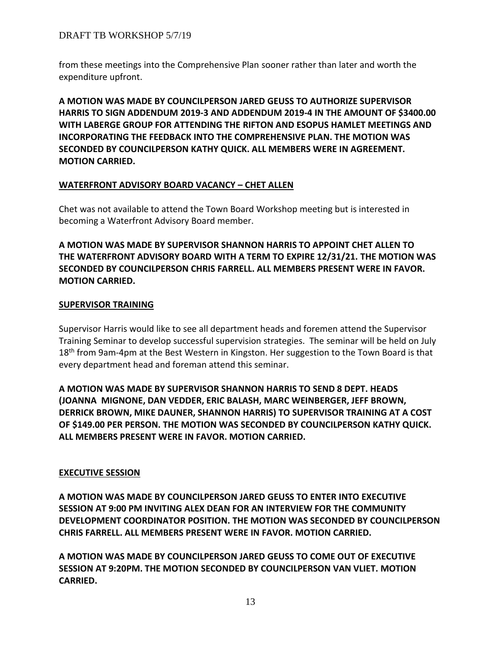from these meetings into the Comprehensive Plan sooner rather than later and worth the expenditure upfront.

**A MOTION WAS MADE BY COUNCILPERSON JARED GEUSS TO AUTHORIZE SUPERVISOR HARRIS TO SIGN ADDENDUM 2019-3 AND ADDENDUM 2019-4 IN THE AMOUNT OF \$3400.00 WITH LABERGE GROUP FOR ATTENDING THE RIFTON AND ESOPUS HAMLET MEETINGS AND INCORPORATING THE FEEDBACK INTO THE COMPREHENSIVE PLAN. THE MOTION WAS SECONDED BY COUNCILPERSON KATHY QUICK. ALL MEMBERS WERE IN AGREEMENT. MOTION CARRIED.**

### **WATERFRONT ADVISORY BOARD VACANCY – CHET ALLEN**

Chet was not available to attend the Town Board Workshop meeting but is interested in becoming a Waterfront Advisory Board member.

**A MOTION WAS MADE BY SUPERVISOR SHANNON HARRIS TO APPOINT CHET ALLEN TO THE WATERFRONT ADVISORY BOARD WITH A TERM TO EXPIRE 12/31/21. THE MOTION WAS SECONDED BY COUNCILPERSON CHRIS FARRELL. ALL MEMBERS PRESENT WERE IN FAVOR. MOTION CARRIED.** 

## **SUPERVISOR TRAINING**

Supervisor Harris would like to see all department heads and foremen attend the Supervisor Training Seminar to develop successful supervision strategies. The seminar will be held on July 18<sup>th</sup> from 9am-4pm at the Best Western in Kingston. Her suggestion to the Town Board is that every department head and foreman attend this seminar.

**A MOTION WAS MADE BY SUPERVISOR SHANNON HARRIS TO SEND 8 DEPT. HEADS (JOANNA MIGNONE, DAN VEDDER, ERIC BALASH, MARC WEINBERGER, JEFF BROWN, DERRICK BROWN, MIKE DAUNER, SHANNON HARRIS) TO SUPERVISOR TRAINING AT A COST OF \$149.00 PER PERSON. THE MOTION WAS SECONDED BY COUNCILPERSON KATHY QUICK. ALL MEMBERS PRESENT WERE IN FAVOR. MOTION CARRIED.**

# **EXECUTIVE SESSION**

**A MOTION WAS MADE BY COUNCILPERSON JARED GEUSS TO ENTER INTO EXECUTIVE SESSION AT 9:00 PM INVITING ALEX DEAN FOR AN INTERVIEW FOR THE COMMUNITY DEVELOPMENT COORDINATOR POSITION. THE MOTION WAS SECONDED BY COUNCILPERSON CHRIS FARRELL. ALL MEMBERS PRESENT WERE IN FAVOR. MOTION CARRIED.**

**A MOTION WAS MADE BY COUNCILPERSON JARED GEUSS TO COME OUT OF EXECUTIVE SESSION AT 9:20PM. THE MOTION SECONDED BY COUNCILPERSON VAN VLIET. MOTION CARRIED.**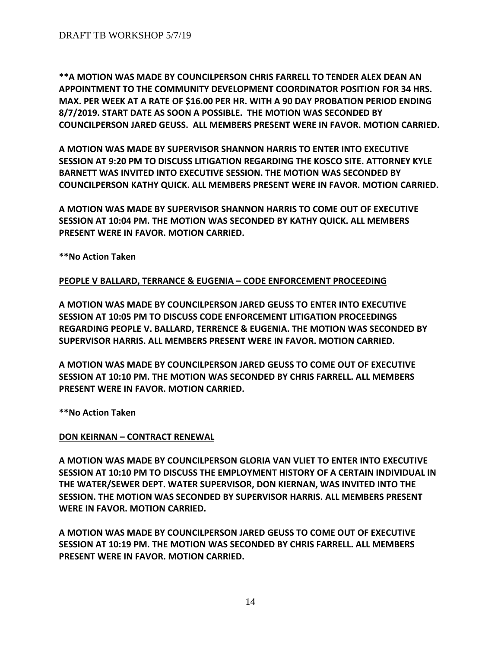**\*\*A MOTION WAS MADE BY COUNCILPERSON CHRIS FARRELL TO TENDER ALEX DEAN AN APPOINTMENT TO THE COMMUNITY DEVELOPMENT COORDINATOR POSITION FOR 34 HRS. MAX. PER WEEK AT A RATE OF \$16.00 PER HR. WITH A 90 DAY PROBATION PERIOD ENDING 8/7/2019. START DATE AS SOON A POSSIBLE. THE MOTION WAS SECONDED BY COUNCILPERSON JARED GEUSS. ALL MEMBERS PRESENT WERE IN FAVOR. MOTION CARRIED.**

**A MOTION WAS MADE BY SUPERVISOR SHANNON HARRIS TO ENTER INTO EXECUTIVE SESSION AT 9:20 PM TO DISCUSS LITIGATION REGARDING THE KOSCO SITE. ATTORNEY KYLE BARNETT WAS INVITED INTO EXECUTIVE SESSION. THE MOTION WAS SECONDED BY COUNCILPERSON KATHY QUICK. ALL MEMBERS PRESENT WERE IN FAVOR. MOTION CARRIED.**

**A MOTION WAS MADE BY SUPERVISOR SHANNON HARRIS TO COME OUT OF EXECUTIVE SESSION AT 10:04 PM. THE MOTION WAS SECONDED BY KATHY QUICK. ALL MEMBERS PRESENT WERE IN FAVOR. MOTION CARRIED.**

**\*\*No Action Taken** 

# **PEOPLE V BALLARD, TERRANCE & EUGENIA – CODE ENFORCEMENT PROCEEDING**

**A MOTION WAS MADE BY COUNCILPERSON JARED GEUSS TO ENTER INTO EXECUTIVE SESSION AT 10:05 PM TO DISCUSS CODE ENFORCEMENT LITIGATION PROCEEDINGS REGARDING PEOPLE V. BALLARD, TERRENCE & EUGENIA. THE MOTION WAS SECONDED BY SUPERVISOR HARRIS. ALL MEMBERS PRESENT WERE IN FAVOR. MOTION CARRIED.**

**A MOTION WAS MADE BY COUNCILPERSON JARED GEUSS TO COME OUT OF EXECUTIVE SESSION AT 10:10 PM. THE MOTION WAS SECONDED BY CHRIS FARRELL. ALL MEMBERS PRESENT WERE IN FAVOR. MOTION CARRIED.**

**\*\*No Action Taken**

### **DON KEIRNAN – CONTRACT RENEWAL**

**A MOTION WAS MADE BY COUNCILPERSON GLORIA VAN VLIET TO ENTER INTO EXECUTIVE SESSION AT 10:10 PM TO DISCUSS THE EMPLOYMENT HISTORY OF A CERTAIN INDIVIDUAL IN THE WATER/SEWER DEPT. WATER SUPERVISOR, DON KIERNAN, WAS INVITED INTO THE SESSION. THE MOTION WAS SECONDED BY SUPERVISOR HARRIS. ALL MEMBERS PRESENT WERE IN FAVOR. MOTION CARRIED.**

**A MOTION WAS MADE BY COUNCILPERSON JARED GEUSS TO COME OUT OF EXECUTIVE SESSION AT 10:19 PM. THE MOTION WAS SECONDED BY CHRIS FARRELL. ALL MEMBERS PRESENT WERE IN FAVOR. MOTION CARRIED.**